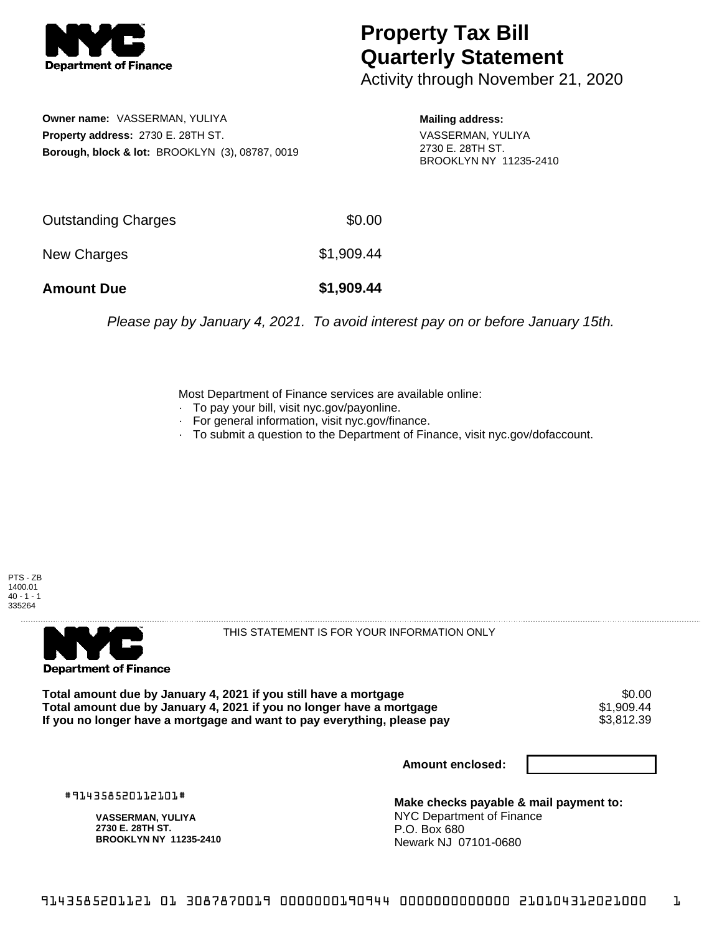

## **Property Tax Bill Quarterly Statement**

Activity through November 21, 2020

**Owner name:** VASSERMAN, YULIYA **Property address:** 2730 E. 28TH ST. **Borough, block & lot:** BROOKLYN (3), 08787, 0019

**Mailing address:** VASSERMAN, YULIYA 2730 E. 28TH ST. BROOKLYN NY 11235-2410

| <b>Amount Due</b>          | \$1,909.44 |
|----------------------------|------------|
| New Charges                | \$1,909.44 |
| <b>Outstanding Charges</b> | \$0.00     |

Please pay by January 4, 2021. To avoid interest pay on or before January 15th.

Most Department of Finance services are available online:

- · To pay your bill, visit nyc.gov/payonline.
- For general information, visit nyc.gov/finance.
- · To submit a question to the Department of Finance, visit nyc.gov/dofaccount.





THIS STATEMENT IS FOR YOUR INFORMATION ONLY

Total amount due by January 4, 2021 if you still have a mortgage \$0.00<br>Total amount due by January 4, 2021 if you no longer have a mortgage \$1.909.44 **Total amount due by January 4, 2021 if you no longer have a mortgage**  $$1,909.44$$ **<br>If you no longer have a mortgage and want to pay everything, please pay**  $$3,812.39$$ If you no longer have a mortgage and want to pay everything, please pay

**Amount enclosed:**

#914358520112101#

**VASSERMAN, YULIYA 2730 E. 28TH ST. BROOKLYN NY 11235-2410**

**Make checks payable & mail payment to:** NYC Department of Finance P.O. Box 680 Newark NJ 07101-0680